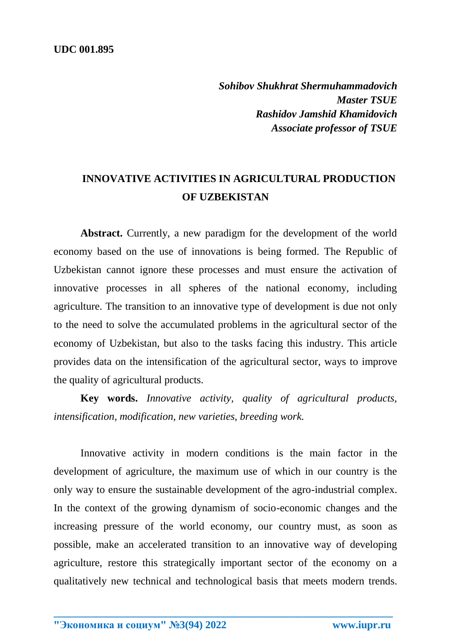*Sohibov Shukhrat Shermuhammadovich Master TSUE Rashidov Jamshid Khamidovich Associate professor of TSUE*

## **INNOVATIVE ACTIVITIES IN AGRICULTURAL PRODUCTION OF UZBEKISTAN**

Abstract. Currently, a new paradigm for the development of the world economy based on the use of innovations is being formed. The Republic of Uzbekistan cannot ignore these processes and must ensure the activation of innovative processes in all spheres of the national economy, including agriculture. The transition to an innovative type of development is due not only to the need to solve the accumulated problems in the agricultural sector of the economy of Uzbekistan, but also to the tasks facing this industry. This article provides data on the intensification of the agricultural sector, ways to improve the quality of agricultural products.

**Key words.** *Innovative activity, quality of agricultural products, intensification, modification, new varieties, breeding work.*

Innovative activity in modern conditions is the main factor in the development of agriculture, the maximum use of which in our country is the only way to ensure the sustainable development of the agro-industrial complex. In the context of the growing dynamism of socio-economic changes and the increasing pressure of the world economy, our country must, as soon as possible, make an accelerated transition to an innovative way of developing agriculture, restore this strategically important sector of the economy on a qualitatively new technical and technological basis that meets modern trends.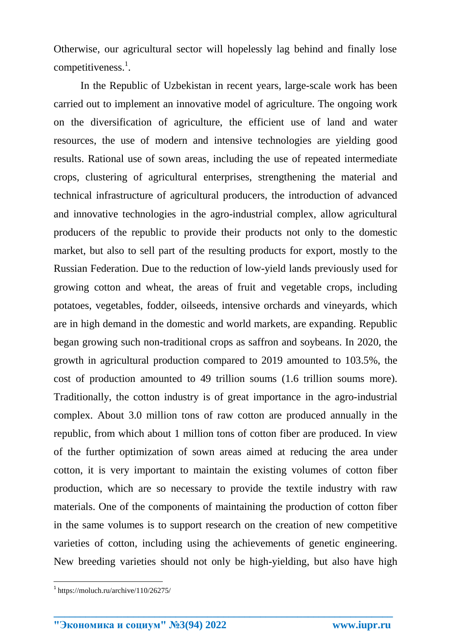Otherwise, our agricultural sector will hopelessly lag behind and finally lose competitiveness. $<sup>1</sup>$ .</sup>

In the Republic of Uzbekistan in recent years, large-scale work has been carried out to implement an innovative model of agriculture. The ongoing work on the diversification of agriculture, the efficient use of land and water resources, the use of modern and intensive technologies are yielding good results. Rational use of sown areas, including the use of repeated intermediate crops, clustering of agricultural enterprises, strengthening the material and technical infrastructure of agricultural producers, the introduction of advanced and innovative technologies in the agro-industrial complex, allow agricultural producers of the republic to provide their products not only to the domestic market, but also to sell part of the resulting products for export, mostly to the Russian Federation. Due to the reduction of low-yield lands previously used for growing cotton and wheat, the areas of fruit and vegetable crops, including potatoes, vegetables, fodder, oilseeds, intensive orchards and vineyards, which are in high demand in the domestic and world markets, are expanding. Republic began growing such non-traditional crops as saffron and soybeans. In 2020, the growth in agricultural production compared to 2019 amounted to 103.5%, the cost of production amounted to 49 trillion soums (1.6 trillion soums more). Traditionally, the cotton industry is of great importance in the agro-industrial complex. About 3.0 million tons of raw cotton are produced annually in the republic, from which about 1 million tons of cotton fiber are produced. In view of the further optimization of sown areas aimed at reducing the area under cotton, it is very important to maintain the existing volumes of cotton fiber production, which are so necessary to provide the textile industry with raw materials. One of the components of maintaining the production of cotton fiber in the same volumes is to support research on the creation of new competitive varieties of cotton, including using the achievements of genetic engineering. New breeding varieties should not only be high-yielding, but also have high

**\_\_\_\_\_\_\_\_\_\_\_\_\_\_\_\_\_\_\_\_\_\_\_\_\_\_\_\_\_\_\_\_\_\_\_\_\_\_\_\_\_\_\_\_\_\_\_\_\_\_\_\_\_\_\_\_\_\_\_\_\_\_\_\_**

 $\overline{\phantom{a}}$ 

<sup>1</sup> https://moluch.ru/archive/110/26275/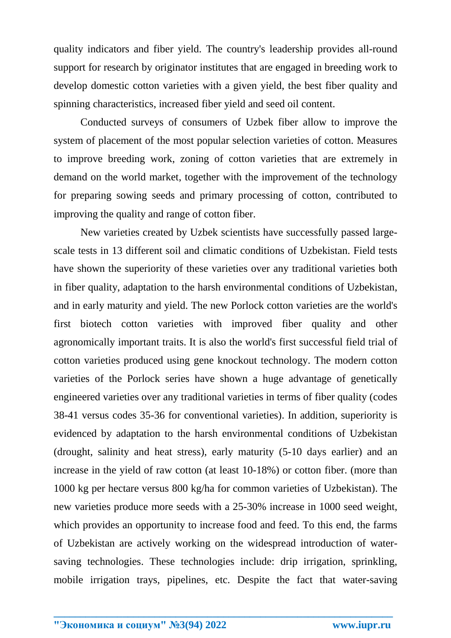quality indicators and fiber yield. The country's leadership provides all-round support for research by originator institutes that are engaged in breeding work to develop domestic cotton varieties with a given yield, the best fiber quality and spinning characteristics, increased fiber yield and seed oil content.

Conducted surveys of consumers of Uzbek fiber allow to improve the system of placement of the most popular selection varieties of cotton. Measures to improve breeding work, zoning of cotton varieties that are extremely in demand on the world market, together with the improvement of the technology for preparing sowing seeds and primary processing of cotton, contributed to improving the quality and range of cotton fiber.

New varieties created by Uzbek scientists have successfully passed largescale tests in 13 different soil and climatic conditions of Uzbekistan. Field tests have shown the superiority of these varieties over any traditional varieties both in fiber quality, adaptation to the harsh environmental conditions of Uzbekistan, and in early maturity and yield. The new Porlock cotton varieties are the world's first biotech cotton varieties with improved fiber quality and other agronomically important traits. It is also the world's first successful field trial of cotton varieties produced using gene knockout technology. The modern cotton varieties of the Porlock series have shown a huge advantage of genetically engineered varieties over any traditional varieties in terms of fiber quality (codes 38-41 versus codes 35-36 for conventional varieties). In addition, superiority is evidenced by adaptation to the harsh environmental conditions of Uzbekistan (drought, salinity and heat stress), early maturity (5-10 days earlier) and an increase in the yield of raw cotton (at least 10-18%) or cotton fiber. (more than 1000 kg per hectare versus 800 kg/ha for common varieties of Uzbekistan). The new varieties produce more seeds with a 25-30% increase in 1000 seed weight, which provides an opportunity to increase food and feed. To this end, the farms of Uzbekistan are actively working on the widespread introduction of watersaving technologies. These technologies include: drip irrigation, sprinkling, mobile irrigation trays, pipelines, etc. Despite the fact that water-saving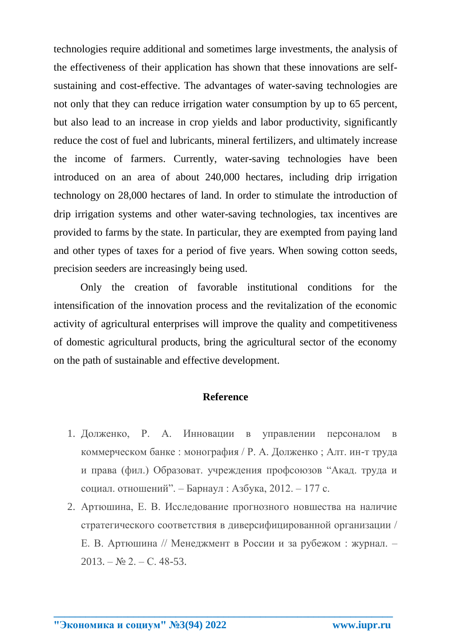technologies require additional and sometimes large investments, the analysis of the effectiveness of their application has shown that these innovations are selfsustaining and cost-effective. The advantages of water-saving technologies are not only that they can reduce irrigation water consumption by up to 65 percent, but also lead to an increase in crop yields and labor productivity, significantly reduce the cost of fuel and lubricants, mineral fertilizers, and ultimately increase the income of farmers. Currently, water-saving technologies have been introduced on an area of about 240,000 hectares, including drip irrigation technology on 28,000 hectares of land. In order to stimulate the introduction of drip irrigation systems and other water-saving technologies, tax incentives are provided to farms by the state. In particular, they are exempted from paying land and other types of taxes for a period of five years. When sowing cotton seeds, precision seeders are increasingly being used.

Only the creation of favorable institutional conditions for the intensification of the innovation process and the revitalization of the economic activity of agricultural enterprises will improve the quality and competitiveness of domestic agricultural products, bring the agricultural sector of the economy on the path of sustainable and effective development.

## **Reference**

- 1. Долженко, Р. А. Инновации в управлении персоналом в коммерческом банке : монография / Р. А. Долженко ; Алт. ин-т труда и права (фил.) Образоват. учреждения профсоюзов "Акад. труда и социал. отношений". – Барнаул : Азбука, 2012. – 177 с.
- 2. Артюшина, Е. В. Исследование прогнозного новшества на наличие стратегического соответствия в диверсифицированной организации / Е. В. Артюшина // Менеджмент в России и за рубежом : журнал. –  $2013. - N_2 2. - C. 48-53.$